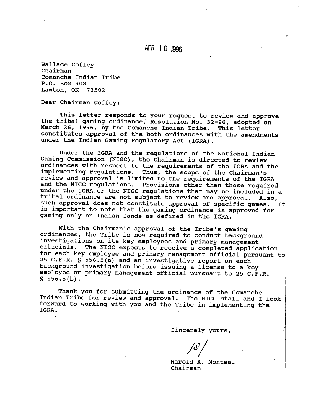### **APR 1 0 1996**

Wallace Coffey Chairman Comanche Indian Tribe P.O. Box 908 Lawton, OK 73502

Dear Chairman Coffey:

This letter responds to your request to review and approve the tribal gaming ordinance, Resolution No. 32-96, adopted on March 26, 1996, by the Comanche Indian Tribe. This letter constitutes approval of the both ordinances with the amendments under the Indian Gaming Regulatory Act (IGRA).

Under the IGRA and the regulations of the National Indian Gaming Commission (NIGC), the Chairman is directed to review ordinances with respect to the requirements of the IGRA and the implementing regulations. Thus, the scope of the chairman's review and approval is limited to the requirements of the IGRA and the NIGC regulations. Provisions other than those required under the IGRA or the NIGC regulations that may be included in a tribal ordinance are not subject to review and approval. Also, such approval does not constitute approval of specific games. It is important to note that the gaming ordinance is approved for gaming only on Indian lands as defined in the IGRA.

With the Chairman's approval of the Tribe's gaming ordinances, the Tribe is now required to conduct background investigations on its key employees and primary management The NIGC expects to receive a completed application for each key employee and primary management official pursuant to 25 C.F.R. § 556.5(a) and an investigative report on each background investigation before issuing a license to a key employee or primary management official pursuant to 25 C.F.R.  $$556.5(b).$ 

Thank you for submitting the ordinance of the Comanche Indian Tribe for review and approval. The NIGC staff and I look forward to working with you and the Tribe in implementing the IGRA.

Sincerely yours,

Harold A. Monteau Chairman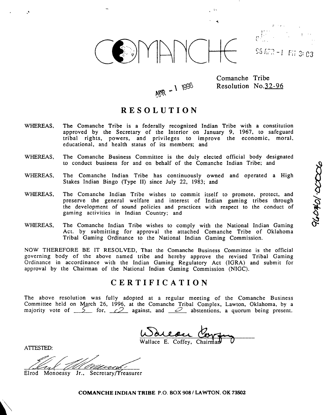

 $S5 kT2 - 1$  Fii 3: 03

240401-0000

 $APR - 11996$ 

Comanche Tribe Resolution No.32-96

### **RESOLUTION**

- WHEREAS. The Comanche Tribe is a federally recognized Indian Tribe with a constitution approved by the Secretary of the Interior on January 9, 1967, to safeguard tribal rights, powers, and privileges to improve the economic, moral, educational, and health status of its members; and
- WHEREAS, The Comanche Business Committee is the duly elected official body designated to conduct business for and on behalf of the Comanche Indian Tribe; and
- WHEREAS, The Comanche Indian Tribe has continuously owned and operated a High Stakes Indian Bingo (Type 11) since July 22, 1983; and
- WHEREAS, The Comanche Indian Tribe wishes to commit itself to promote, protect. and The Comanche Indian Tribe wishes to commit itself to promote, protect, and  $\bigcirc$ <br>preserve the general welfare and interest of Indian gaming tribes through  $\bigcirc$ the development of sound policies and practices with respect to the conduct of  $\mathbb{R}$ <br>gaming activities in Indian Country; and
- WHEREAS, The Comanche Indian Tribe wishes to comply with the National Indian Gaming Act. by submitting for approval the attached Comanche Tribe of Oklahoma Tribal Gaming Ordinance to the National Indian Gaming Commission.

NOW THEREFORE BE IT RESOLVED, That the Comanche Business Committee is the official governing body of the above named tribe and hereby approve the revised Tribal Gaming Ordinance in accordinance with the Indian Gaming Regulatory Act (IGRA) and submit for approval by the Chairman of the National Indian Gaming Commission (NIGC). e wishes to comply with the National Indian Gaming<br>pproval the attached Comanche Tribe of Oklahoma<br>o the National Indian Gaming Commission.<br>That the Comanche Business Committee is the official<br>ribe and hereby approve the r

#### **CERTIFICATION**

The above resolution was fully adopted at a regular meeting of the Comanche Business Committee held on March 26, 1996, at the Comanche Tribal Complex, Lawton, Oklahoma, by a majority vote of <u>5</u> for, <u>2</u> against, and <u>3</u> abstentions, a quorum being present.

**ATTESTED:** 

€ I e velo

Elrod Monoessy Jr., Secretary/Treasurer

**COMANCHE** INDIAN **TRIBE** P.O. BOX 908 **1** LAWTON, OK **73502**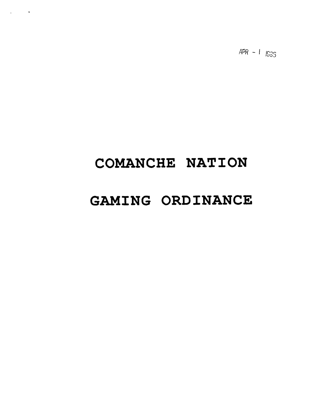$APR - 1$  1535

# **COMANCHE NATION**

 $\mathcal{L}_{\text{max}}$  and  $\mathcal{L}_{\text{max}}$ 

# **GAMING ORDINANCE**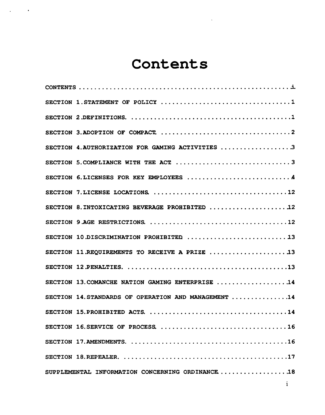# **Contents**

 $\zeta^{\pm}$ 

 $\mathcal{L}_{\text{max}}$  and  $\mathcal{L}_{\text{max}}$ 

| Contents                                             |  |
|------------------------------------------------------|--|
|                                                      |  |
|                                                      |  |
|                                                      |  |
|                                                      |  |
| SECTION 4. AUTHORIZATION FOR GAMING ACTIVITIES 3     |  |
|                                                      |  |
|                                                      |  |
|                                                      |  |
| SECTION 8. INTOXICATING BEVERAGE PROHIBITED  12      |  |
|                                                      |  |
| SECTION 10.DISCRIMINATION PROHIBITED  13             |  |
| SECTION 11.REQUIREMENTS TO RECEIVE A PRIZE 13        |  |
|                                                      |  |
| SECTION 13. COMANCHE NATION GAMING ENTERPRISE 14     |  |
| SECTION 14. STANDARDS OF OPERATION AND MANAGEMENT 14 |  |
|                                                      |  |
|                                                      |  |
|                                                      |  |
|                                                      |  |
| SUPPLEMENTAL INFORMATION CONCERNING ORDINANCE18      |  |
| $\bf{1}$                                             |  |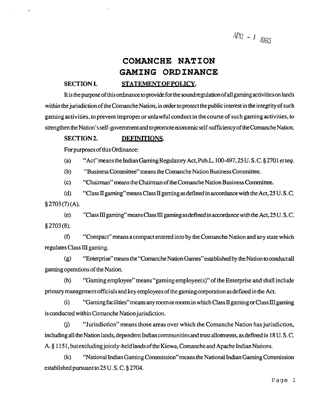$APR - I$  1995

## **COMANCHE NATION GAMING ORDINANCE**  SECTION 1. STATEMENT OF POLICY.

 $\lambda$ 

It is thepurposeof thisordinance to provide forthe sound regulation of all gaming activitieson lands within the jurisdiction of the Comanche Nation, in order to protect the public interest in the integrity of such gaming activities, to prevent improper or unlawful conduct in the course of such gaming activities, to strengthen the Nation's self-government and to promote economic self-sufficiency of the Comanche Nation.

#### **SECTION 2. DEFINITIONS.**

For purposes of this Ordinance:

(a) "Act"meanstheIndianGaming Regulatory Act, Pub.L. 100-497,25 U. S. C. § 2701 **etseq.** 

(b) "Business Committee" means the Comanche Nation Business Committee.

(c) "Chairman" means the Chairman of the Comanche Nation Business Committee.

(d) "Class II gaming" means Class II gaming as defined in accordance with the Act, 25 U. S. C.  $§$  2703(7)(A).

(el "Class III gaming" means Class III gaming as defined in accordance with the Act, 25 U. S. **C.**   $§$  2703 (8).

**(f)** "Compact" means a compact entered into by the Comanche Nation and any state which regulates Class **III** gaming.

(g) "Enterprise" means the"Comanche Nation Games"estab1ished by the Nation to conduct all gaming opemtions of the Nation.

(h) "Gaming employee" means "gaming employee(s)" of the Enterprise and shall include primary management officials and key employees of the gamingcorporation as defined in the Act.

(i) "Gaming faci1ities"rneans any momor moms in which Class **I1** gaming or Class III gaming is conducted within Comanche Nation jurisdiction.

**(j)** "Jurisdiction" means those areas over which the Comanche Nation has jurisdiction, including all the Nation lands, dependent Indian communities and trust allotments, as defined in 18 U. **S.** C. A. \$1 15 1, but excluding jointly-held lands of the Kiowa, Comanche and Apache Indian Nations.

(k) "National Indian Gaming Commission"means the National Indian Gaming Commission established pursuant to 25 U. S. C. 8 2704.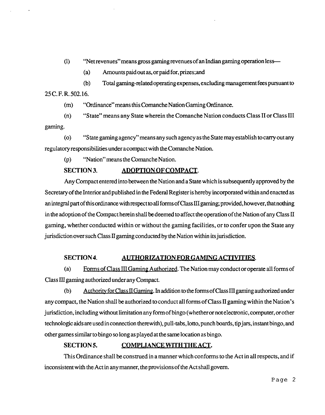- (1) "Net revenues" means gross gaming revenues of an Indian gaming operation less-
	- (a) Amounts paidout as, or paid for, prizes;and
- (b) Total gaming-related operating expenses, excluding management fees pursuant to 25 C. F. R. 502.16.
	- (m) "Ordinance" means this Comanche Nation Gaming Ordinance.
- (n) "State" means any State wherein the Comanche Nation conducts Class **I1** or Class **I11**  gaming.
- (0) "State gaming agency" means any such agency as the State may establish to carry out any regulatory responsibilities under acompact with the Comanche Nation.
	- (p) "Nation" means the Comanche Nation.

#### **SECTION 3. ADOPTION OF COMPACT.**

Any Compact entered into between the Nation and a State which is subsequently approved by the Secretary of the Interior and published in the Federal Register is hereby incorporated within and enacted as an integral part of this ordinance with respect to all forms of Class III gaming; provided, however, that nothing in the adoption of the Compact herein shall be deemed to affect the operation of the Nation of any Class **II**  gaming, whether conducted within or without the gaming facilities, or to confer upon the State any jurisdiction over such Class **II** gaming conducted by the Nation within its jurisdiction.

#### **SECTION4. AUTHORIZATION FOR GAMING ACTIVITIES.**

(a) Forms of Class Ill Gaming Authorized. The Nation may conductor operate all forms of Class **ID** gaming authorized under any Compact.

(b) Authoritv for Class **Il** Gaming. In addition to the forms of Class III gaming authorized under any compact, the Nation shall be authorized to conduct all forms of Class II gaming within the Nation's jurisdiction, including without limitation any formof bingo (whetheror notelectronic, computer, orother technologic aids are used in connection therewith), pull-tabs, lotto, punch boards, tip jars, instant bingo, and other games similar to bingo so long as played at the same location as bingo. with respect to all forms of Class III gaming; provided, however, that nothing<br>theres in shall be deemed to affect the operation of the Nation of any Class II<br>tithin or without the gaming facilities, or to confer upon the

#### **SECTION 5.**

This Ordinance shall be construed in a manner which conforms to the Act in all respects, and if inconsistent with the Act in any manner, the provisions of the Act shall govern.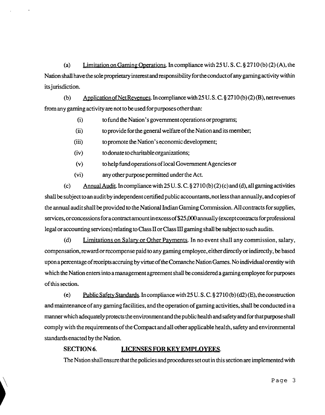(a) Limitation on Gaming Operations. In compliance with 25 U. S. C. § 2710 (b) (2) (A), the Nation shall have the sole proprietary interest and responsibility for the conduct of any gaming activity within its jurisdiction.

(b) ADDlication of Net Revenues. In compliance with 25 U. **S.** C. \$27 10 (b) **(2) (B),** netrevenues from any gaming activity are not to be used for purposes other than:

(i) to fund the Nation's government operations or programs;

(ii) to provide for the general welfare of the Nation and its member;

(iii) to promote the Nation's economic development;

(iv) todonate to charitable organizations;

(v) to help fund operations of local Government Agencies or

(vi) any other purpose permitted under the Act.

(c) Annual Audit. In compliance with 25 U. **S.** C. \$ 27 10 (b) (2) (c) and (d), all gaming activities shall be subject to an audit by independent certified public accountants, not less than annually, andcopies of the annual audit shall be provided to the National Indian Gaming Commission. **All** contracts for supplies, services, or concessions for a contract amount in excess of \$25,000 annually (except contracts for professional legal or accounting services) relating to Class II or Class III gaming shall be subject to such audits.

(d) Limitations on Salary or Other Payments. In no event shall any commission, salary, compensation, reward or recompense paid to any gaming employee, either directly or indirectly, be based upon a percentage of receipts accruing by virtue of the Comanche Nation Games. No individual or entity with which the Nation enters into amanagement agreement shall be considered a gaming employee for purposes of this section.

(e) Public Safety Standards. In compliance with 25 U.S.C. § 2710 (b) (d2) (E), the construction and maintenance of any gaming facilities, and the operation of gaming activities, shall be conducted in a manner which adequately protects the environment and the public health and safety and for that purpose shall comply with the requirements of the Compact and all other applicable health, safety and environmental standards enacted by the Nation.

#### **SECTION 6. LICENSES FOR KEY EMPLOYEES.**

The Nation shall ensure that the policies and procedures set out in this section are implemented with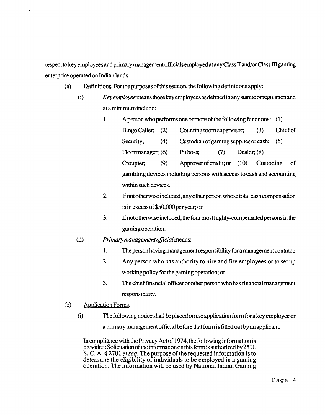respect to key employees and primary management officials employed at any Class **II** andor Class III gaming enterprise operated on Indian lands:

- (a) Pefinitions. For the purposes of this section, the following definitions apply:
	- (i) *Key employee* means those key employees as definedin any statuteorregulation and at a minimum include:
		- 1. A person who performs one or more of the following functions: (1)
			- Bingo Caller, (2) Counting room supervisor; (3) Chief of Security; (4) Custodian of gaming supplies or cash; (5) Floor manager; (6) Pit boss; (7) Dealer; **(8)**  Croupier, (9) Approverofcredit; or (10) Custodian of gambling devices including persons with access to cash and accounting within such devices.
		- *2.* If not otherwise included, any other person whose total cash compensation is in excess of \$50,000 per year; or
		- 3. If not otherwise included, the four most highly-compensated persons in the gaming operation.
	- (ii) **Primary** *management oficial* means:
		- 1. The person having management responsibility for amanagement contract;
		- *2.* Any person who has authority to hire and fire employees or to set up working policy for the gaming operation; or
		- **3.** The chief financial officer or other person who has financial management responsibility.

#### $(b)$  Application Forms.

(9 The following notice shall be placed on the application form for a key employee or a primary management official before that form is filled out by an applicant:

In compliance with the Privacy Act of 1974, the following information is provided: Solicitation of theinformation on this form is authorized by 25 U. **S.** C. A. **fj** 2701 *et seq.* The purpose of the requested information is to determine the eligibility of individuals to be employed in a gaming operation. The information will be used by National Indian Gaming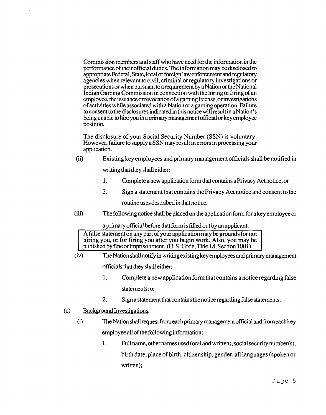Commission members and staff who have need for the information in the performance of their official duties. The information may be disclosed to appropriate Federal, State, local or foreign law enforcement and regulatory agencies when relevant to civil, criminal or regulatory investigations or prosecutions or when pursuant to arequirement by a Nation or the National Indian Gaming Commission in connection with the hiring or firing of an employee, the issuance orrevocation of a gaming license, or investigations of activities while associated with a Nation or a gaming operation. Failure to consent to the disclosures indicated in this notice will result in a Nation's being unable to hire you in a primary management official or key employee position.

The disclosure of your Social Security Number (SSN) is voluntary. However, failure to supply a SSN may result in errors in processing your application.

(ii) Existing key employees and primary management officials shall be notified in

writing that they shall either:

- 1. Complete a new application form that contains a Privacy Act notice; or
- **2.** Sign a statement that contains the Privacy Act notice and consent to the

routine usesdescribed in that notice.

(iii) The following notice shall be placed on the application form for a key employee or

a primary official before that form is filled out by an applicant:

A false statement on any part of your application may be grounds for not hiring you, or for firing you after you begin work. Also, you may be

- punished by fine or imprisonment. (U. S. Code, Title 18, Section 1001).<br>(iv) The Nation shall notify in writing existing key employees and prior The Nation shall notify in writing existing key employees and primary management officials that they shall either:
	- 1. Complete a new application form that contains a notice regarding false statements; or
	- **2,** Sign a statement that contains the notice regarding false statements.
- (c) Background Investigations.
	- $(i)$  The Nation shall request from each primary management of ficial and from each key employee all of the following information:
		- 1. Full name, other names used (oral and written), social security number(s), birth date, place of birth, citizenship, gender, all languages (spoken or written);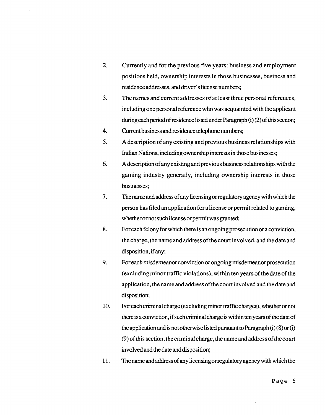- $2.$ Currently and for the previous five years: business and employment positions held, ownership interests in those businesses, business and residence addresses, and driver's license numbers;
- 3. The names and current addresses of at least three personal references, including one personal reference who was acquainted with the applicant during each periodof residence listed under Paragraph (i) (2) of this section;
- 4. Current business and residence telephone numbers;
- $5<sub>1</sub>$ A description of any existing and previous business relationships with Indian Nations, including ownership interests in those businesses;
- 6. **A** description of any existing and previous business relationships with the gaming industry generally, including ownership interests in those businesses;
- $7<sub>1</sub>$ The name and address of any licensing or regulatory agency with which the person has filed an application for a license or permit related to gaming, whether or not such license or permit was granted;
- 8. For each felony for which there is an ongoing prosecution or a conviction, the charge, the name and address of the court involved, and the date and disposition, if any;
- 9. For each misdemeanor conviction or ongoing misdemeanor prosecution (excluding minor traffic violations), within ten years of the date of the application, the name and address of the court involved and the date and disposition;
- 10. For each criminal charge (excluding minor traffic charges), whether or not thereis aconviction, if such criminal charge is within ten years of thedateof the application and is not otherwise listed pursuant to Paragraph  $(i)$  (8) or  $(i)$ (9) of this section, thecriminal charge, the name and address of thecourt involved and the date and disposition;
- 11. The name and address of any licensing or regulatory agency with which the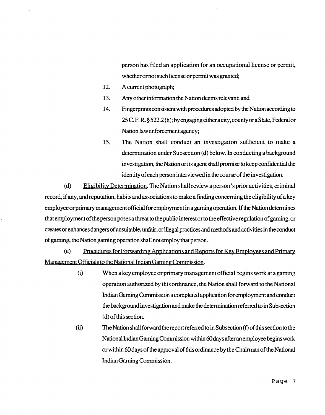person has filed an application for an occupational license or permit, whether or not such license or permit was granted;

- 12. **A** current photograph;
- 13. Any other information the Nation deems relevant; and
- 14. Fingerprints consistent with procedures adopted by the Nation according to 25 C. F. **R. 5** 522.2 (h); by engaging either a city, county or a State, Federal or Nation law enforcement agency;
- 15. The Nation shall conduct an investigation sufficient to make a determination under Subsection (d) below. In conducting a background investigation, the Nation or its agent shall promise to keep confidential the identity of each person interviewed in the course of the investigation.

(d) Eligibility Determination. The Nation shall review a person's prior activities, criminal record, if any, and reputation, habits and associations to make a finding concerning the eligibility of a key employee or primary management official for employment in a gaming operation. If the Nation determines that employment of the person poses a threat to the public interest or to the effective regulation of gaming, or createsorenhances dangersof unsuitable, unfair, or illegal practices and methods and activities in theconduct of gaming, the Nation gaming operation shall not employ that person.

(e) Procedures for Forwarding Applications and Reports for Key Employees and Primary Management Officials to the National Indian Gaming Commission.

- (i) When a key employee or primary management official begins work at a gaming operation authorized by this ordinance, the Nation shall forward to the National Indian Gaming Commission a completed application for employment and conduct the background investigation and make the determination referred to in Subsection (d) of this section.
- (ii> The Nation shall forward thereport referred toin Subsection **(f)** of this section tothe National Indian Gaming Commission within 60days after an employee begins work or within 60 days of the approval of this ordinance by the Chairman of the National Indian Gaming Commission.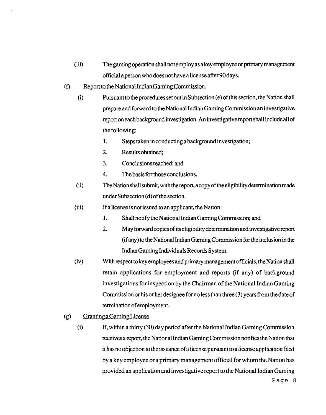- (iii) The gaming operation shall not employ as a key employee or primary management official a person who does not have a license after 90 days.
- $(f)$  Report to the National Indian Gaming Commission.
	- (9 Pursuant to the procedures set out in Subsection *(e)* of this section, the Nation shall prepare and forward to the National Indian Gaming Commission an investigative report on each background investigation. An investigative report shall include all of the following:
		- 1. Steps taken in conducting a background investigation;
		- 2. Results obtained,
		- 3. Conclusionsreached; and
		- 4. The basis for those conclusions.
	- (ii) The Nation shall submit, with thereport, acopy of the eligibility determination made under Subsection (d) of the section.
	- (iii) Ifa license is not issued to an applicant, the Nation:
		- 1. Shall notify the National Indian Gaming Commission; and
		- *2.* May forward copies of its eligibility determination and investigative report (if any) to the National Indian Gaming Commission for the inclusion in the Indian Gaming Individuals Records System.
	- (iv) With respect to key employees and primary management officials, the Nation shall retain applications for employment and reports (if any) of background investigations for inspection by the Chairman of the National Indian Gaming Commission or his or her designee for no less than three (3) years from the date of termination of employment.
- **(g)** Granting aGaming License.
	- $(i)$  If, within a thirty  $(30)$  day period after the National Indian Gaming Commission receives a report, the National Indian Gaming Commission notifies the Nation that it has no objection to the issuance ofa license pursuant to a license application filed by a key employee or a primary management official for whom the Nation has provided an application and investigative report to the National Indian Gaming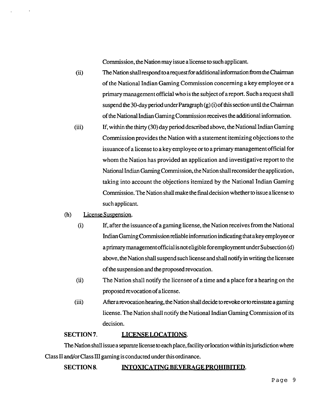Commission, the Nation may issue a license to such applicant.

- (ii) The Nation shall respond to a request for additional information from the Chairman of the National Indian Gaming Commission concerning a key employee or a primary management official who is the subject of areport. Such a request shall suspend the 30-day period under Paragraph  $(g)$  (i) of this section until the Chairman of the National Indian Gaming Commission receives the additional information.
- (iii) If, within the thirty (30) day period described above, the National Indian Gaming Commission provides the Nation with a statement itemizing objections to the issuance of a license to a key employee or to a primary management official for whom the Nation has provided an application and investigative report to the National Indian Gaming Commission, the Nation shall reconsider the application, taking into account the objections itemized by the National Indian Gaming Commission. The Nation shall make the final decision whether to issue a license to such applicant.
- (h) License Suspension.
	- (9 If, after the issuance of a gaming license, the Nation receives from the National Indian Gaming Commission reliable information indicating that a key employee or a primary management official is not eligible for employment under Subsection (d) above, the Nation shall suspend such license and shall notify in writing the licensee of the suspension and the proposed revocation.
	- (i) The Nation shall notify the licensee of a time and a place for a hearing on the proposed revocation of a license.
	- (iii) After arevocation hearing, the Nation shall decide torevoke or to reinstate a gaming license. The Nation shall notify the National Indian Gaming Commission of its decision.

#### SECTION 7. LICENSE LOCATIONS.

The Nation shall issue a separate license to each place, facility or location within its jurisdiction where Class **Il** and/or Class III gaming is conducted under this ordinance.

#### SECTION 8. **INTOXICATING BEVERAGE PROHIBITED.**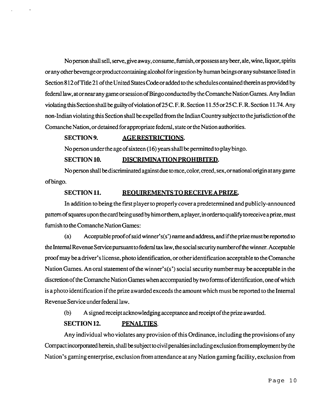No person shall sell, serve, give away, consume, furnish, or possess any beer, ale, wine, liquor, spirits orany other beverageorproduct containing alcohol for ingestion by human beings orany substance listed in Section 8 12 of Title 21 of the United States Code or added to the schedules contained therein as provided by federal law, at or near any game or session of Bingo conducted by the Comanche Nation Games. Any Indian violating this Section shall be guilty of violation of 25 C. F. R. Section 11.55 or 25 C. F. R. Section 11.74. Any non-Indian violating this Section shall be expelled from the Indian Country subject to the jurisdiction of the Comanche Nation, or detained for appropriate federal, state or the Nation authorities. ran violating this section shall be experied from the midian Co<br>che Nation, or detained for appropriate federal, state or the Nations.<br>**SECTION 9.**<br>AGE RESTRICTIONS.

No person under the age of sixteen (1 *6)* years shall be permitted to play bingo.

#### **SECTION 10. DISCRIMINATION PROHIBITED.**

No person shall bediscriminated against due torace, color, creed, sex, or national origin at any game of bingo.

#### **SECTION 11. REQUIREMENTS TO RECEIVE A PRIZE.**

In addition to being the first player to properly cover a predetermined and publicly-announced pattern of squares upon the card being used by him or them, a player, in order to qualify to receive a prize, must furnish to the Comanche Nation Games:

(a) Acceptable proof of said winner's(s') name and address, and if the prize must be reported to the Internal Revenue Service pursuant to federal **tax** law, the social security numberof the winner. Acceptable proof may be a driver's license, photo identification, or other identification acceptable to the Comanche Nation Games. An oral statement of the winner's(s') social security number may be acceptable in the discretion of the Comanche Nation Games when accompanied by two forms of identification, one of which is a photo identification if the prize awarded exceeds the amount which must be reported to the Internal Revenue Service under federal law.

(b) A signed receipt acknowledging acceptance and receipt of the prize awarded.

#### **SECTION 12. PENALTIES.**

Any individual who violates any provision of this Ordinance, including the provisions of any Compact incorporated herein, shall be subject tocivil penalties includingexclusion fromemployrnent by the Nation's gaming enterprise, exclusion from attendance at any Nation gaming facility, exclusion from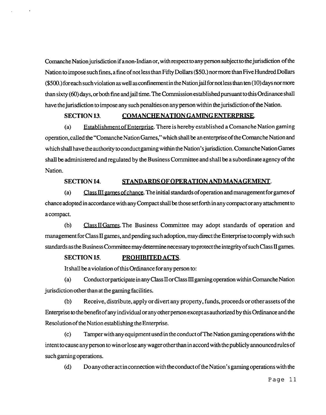Comanche Nation jurisdiction ifanon-Indian or, with respect to any person subject to thejurisdiction of the Nation to impose such fines, a fine of not less than Fifty Dollars (\$50.) nor more than Five Hundred Dollars (\$500.) for each such violation as well as confinement in the Nation jail for not less than ten (10) days nor more than sixty (60) days, or both fine and jail time. The Commission established pursuant to this Ordinance shall have the jurisdiction to impose any such penalties on any person within the jurisdiction of the Nation.

#### SECTION 13. COMANCHE NATION GAMING ENTERPRISE.

(a) Establishment of Enterprise. There is hereby established a Comanche Nation gaming operation, called the "Comanche Nation Games," which shall be an enterprise of the Comanche Nation and which shall have the authority to conduct gaming within the Nation's jurisdiction. Comanche Nation Games shall be administered and regulated by the Business Committee and shall be a subordinate agency of the Nation.

#### **SECTION 14. STANDARDS OF OPERATION AND MANAGEMENT.**

(a) Class III games of chance. The initial standards of operation and management for games of chance adopted in accordance with any Compact shall be those set forth in any compact or any attachment to a compact.

(b) Class II Games. The Business Committee may adopt standards of operation and management for Class II games, and pending such adoption, may direct the Enterprise to comply with such standards as the Business Committee may determine necessary to protect the integrity of such Class II games.

#### **SECTION 15. PROHIBITED ACTS.**

It shall **be** aviolation of this Ordinance for any person to:

(a) Conduct or participate in any Class II or Class III gaming operation within Comanche Nation jurisdiction other than at the gaming facilities.

(b) Receive, distribute, apply or divert any property, funds, proceeds or other assets of the Enterprise to the benefit of any individual or any other person except as authorized by this Ordinance and the Resolution of the Nation establishing the Enterprise.

(c) Tamper with any equipment used in the conduct of The Nation gaming operations with the intent tocause any person to win or lose any wager other than in accord with the publicly announced rules of such gaming operations.

(d) Do any other act in connection with the conduct of the Nation's gaming operations with the

Page **11**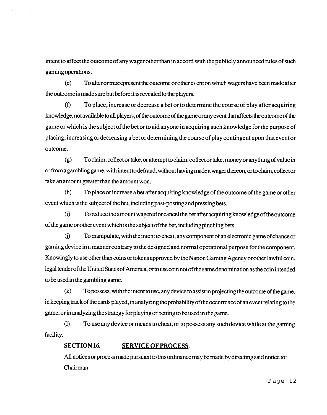intent to affect the outcome of any wager other than in accord with the publicly announced rules of such gaming operations.

(e) To alter or misrepresent theoutcome or othere~ ent on which wagers have been made after the outcome is made sure but before it is revealed to the players.

**(f)** To place, increase or decrease a bet or to determine the course of play after acquiring knowledge, not available to **all** players, of the outcome of the game or any event that affects the outcome of the game or which is the subject of the bet or to aid anyone in acquiring such knowledge for the purpose of placing, increasing or decreasing a bet or determining the course of play contingent upon that event or outcome.

(g) Toclaim, collect or take, or attempt toclaim, collect or take, money or anything of value in or from a gambling game, with intent to defraud, without having made a wager thereon, or to claim, collect or take an amount greater than the amount won.

(h) To place or increase a bet after acquiring knowledge of the outcome of the game or other event which is the subject of the bet, including past-posting and pressing bets.

(i) To reduce the amount wagered or cancel the bet after acquiring knowledge of the outcome of the game or other event which is the subject of the bet, including pinching bets.

) To manipulate, with the intent to cheat, any component of an electronic game of chance or gaming device in a manner contrary to the designed and normal operational purpose for the component. Knowingly to use other than coins or tokens approved by the Nation Gaming Agency or other lawful coin, legal tender of the United States of America, or to use coin not of the same denomination as the coin intended to be usedin the gambling game.

**(k)** To possess, with the intent to use, any device to assist in projecting the outcome of the game, in keeping track of the cards played, in analyzing the probability of the occurrence of an event relating to the game, or in analyzing the strategy for playing or betting to be used in the game.

(1) To use any device or means to cheat, or to possess any such device while at the gaming facility.

#### **SECTION 16. SERVICE OF PROCESS.**

All notices or process made pursuant to this ordinance may be made by directing said notice to: Chairman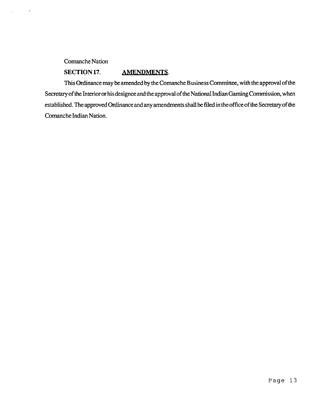#### Comanche Nation

 $\ddot{\phantom{a}}$ 

#### SECTION 17. AMENDMENTS.

This Ordinance may be amended by the Comanche Business Committee, with the approval of the Secretary of the Interior or his designee and the approval of the National Indian Gaming Commission, when established. The approved Ordinance and any amendments shall be filed in the office of the Secretary of the Comanche Lndian Nation.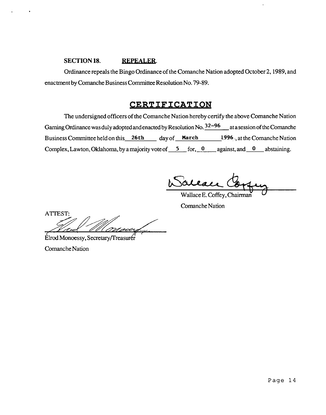#### SECTION **18.** REPEALER.

Ordinance repeals the Bingo Ordinance of the Comanche Nation adopted October 2,1989, and enactment by Comanche Business Committee Resolution No. 79-89.

### **CERTIFICATION**

The undersigned officers of the Comanche Nation hereby certify the above Comanche Nation Gaming Ordinance was duly adopted and enacted by Resolution No.  $32-96$  at a session of the Comanche Business Committee held on this 26th day of March 1996, at the Comanche Nation Complex, Lawton, Oklahoma, by a majority vote of  $\overline{5}$  for,  $\overline{0}$  against, and  $\overline{0}$  abstaining.

aleace

Wallace E. Coffey, Chairman Comanche Nation

ATTEST:

Elrod Monoessy, Secretary/Treasurer

Comanche Nation